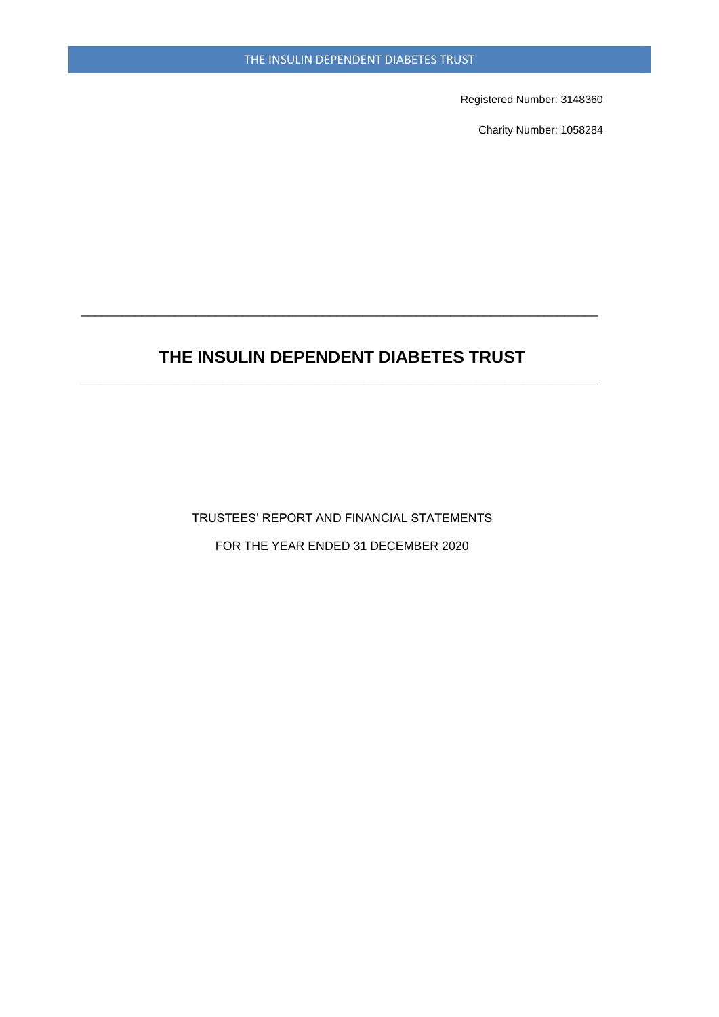Registered Number: 3148360

Charity Number: 1058284

# **THE INSULIN DEPENDENT DIABETES TRUST \_\_\_\_\_\_\_\_\_\_\_\_\_\_\_\_\_\_\_\_\_\_\_\_\_\_\_\_\_\_\_\_\_\_\_\_\_\_\_\_\_\_\_\_\_\_\_\_\_\_\_\_\_\_\_**

\_\_\_\_\_\_\_\_\_\_\_\_\_\_\_\_\_\_\_\_\_\_\_\_\_\_\_\_\_\_\_\_\_\_\_\_\_\_\_\_\_\_\_\_\_\_\_\_\_\_\_\_\_\_\_\_\_\_\_\_\_\_\_\_\_\_\_\_\_\_\_\_\_\_\_\_\_

TRUSTEES' REPORT AND FINANCIAL STATEMENTS FOR THE YEAR ENDED 31 DECEMBER 2020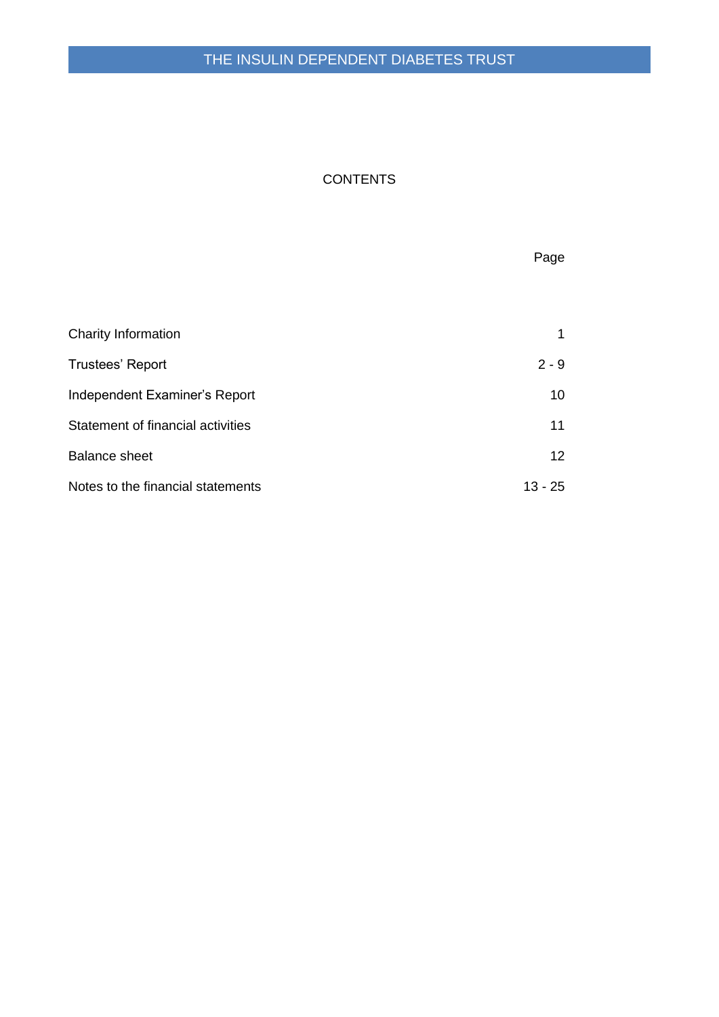# THE INSULIN DEPENDENT DIABETES TRUST

# **CONTENTS**

|                                   | Page      |
|-----------------------------------|-----------|
|                                   |           |
| Charity Information               | 1         |
| <b>Trustees' Report</b>           | $2 - 9$   |
| Independent Examiner's Report     | 10        |
| Statement of financial activities | 11        |
| <b>Balance sheet</b>              | 12        |
| Notes to the financial statements | $13 - 25$ |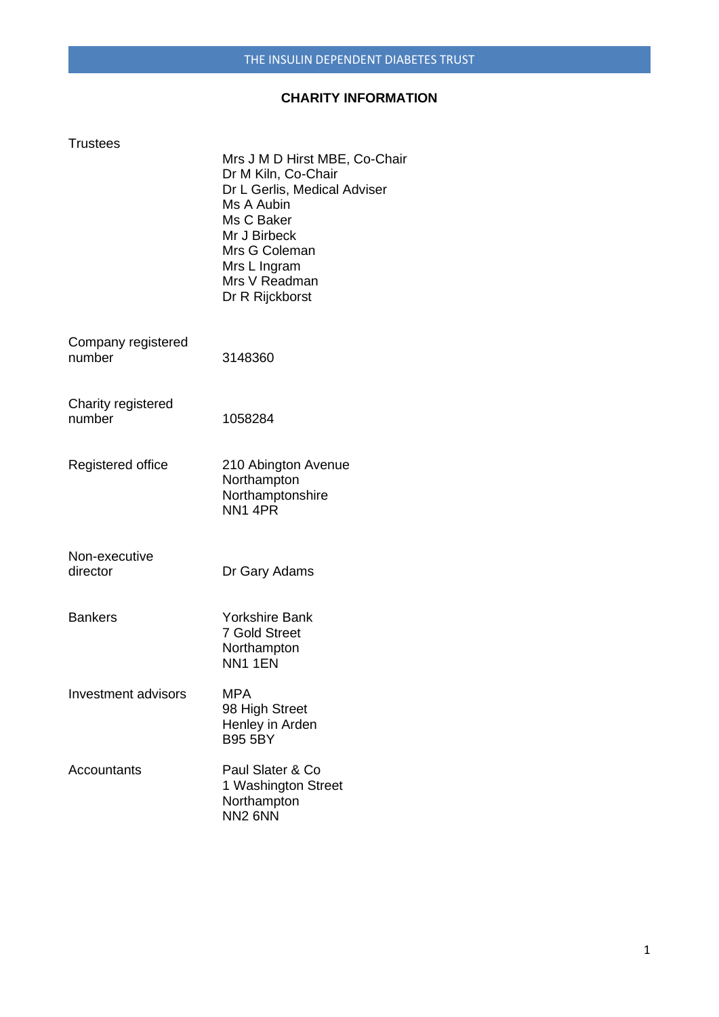### **CHARITY INFORMATION**

| <b>Trustees</b>              | Mrs J M D Hirst MBE, Co-Chair<br>Dr M Kiln, Co-Chair<br>Dr L Gerlis, Medical Adviser<br>Ms A Aubin<br>Ms C Baker<br>Mr J Birbeck<br>Mrs G Coleman<br>Mrs L Ingram<br>Mrs V Readman<br>Dr R Rijckborst |
|------------------------------|-------------------------------------------------------------------------------------------------------------------------------------------------------------------------------------------------------|
| Company registered<br>number | 3148360                                                                                                                                                                                               |
| Charity registered<br>number | 1058284                                                                                                                                                                                               |
| Registered office            | 210 Abington Avenue<br>Northampton<br>Northamptonshire<br>NN <sub>1</sub> 4PR                                                                                                                         |
| Non-executive<br>director    | Dr Gary Adams                                                                                                                                                                                         |
| <b>Bankers</b>               | <b>Yorkshire Bank</b><br><b>7 Gold Street</b><br>Northampton<br><b>NN1 1EN</b>                                                                                                                        |
| <b>Investment advisors</b>   | <b>MPA</b><br>98 High Street<br>Henley in Arden<br><b>B95 5BY</b>                                                                                                                                     |
| Accountants                  | Paul Slater & Co<br>1 Washington Street<br>Northampton<br>NN <sub>2</sub> 6NN                                                                                                                         |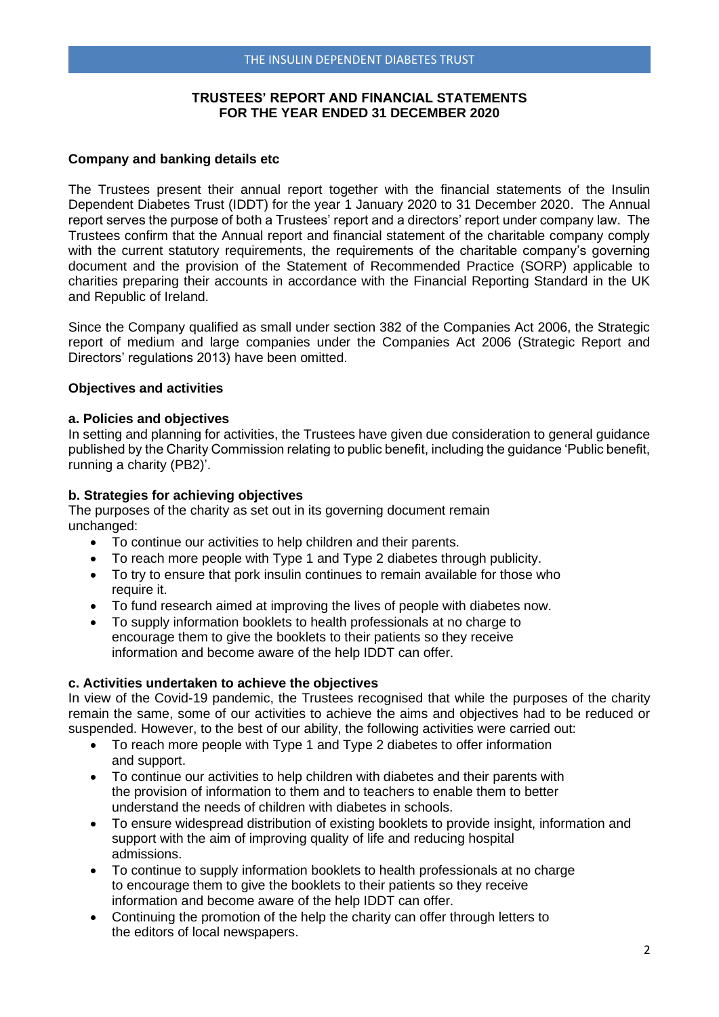#### **TRUSTEES' REPORT AND FINANCIAL STATEMENTS FOR THE YEAR ENDED 31 DECEMBER 2020**

#### **Company and banking details etc**

The Trustees present their annual report together with the financial statements of the Insulin Dependent Diabetes Trust (IDDT) for the year 1 January 2020 to 31 December 2020. The Annual report serves the purpose of both a Trustees' report and a directors' report under company law. The Trustees confirm that the Annual report and financial statement of the charitable company comply with the current statutory requirements, the requirements of the charitable company's governing document and the provision of the Statement of Recommended Practice (SORP) applicable to charities preparing their accounts in accordance with the Financial Reporting Standard in the UK and Republic of Ireland.

Since the Company qualified as small under section 382 of the Companies Act 2006, the Strategic report of medium and large companies under the Companies Act 2006 (Strategic Report and Directors' regulations 2013) have been omitted.

#### **Objectives and activities**

#### **a. Policies and objectives**

In setting and planning for activities, the Trustees have given due consideration to general guidance published by the Charity Commission relating to public benefit, including the guidance 'Public benefit, running a charity (PB2)'.

#### **b. Strategies for achieving objectives**

The purposes of the charity as set out in its governing document remain unchanged:

- To continue our activities to help children and their parents.
- To reach more people with Type 1 and Type 2 diabetes through publicity.
- To try to ensure that pork insulin continues to remain available for those who require it.
- To fund research aimed at improving the lives of people with diabetes now.
- To supply information booklets to health professionals at no charge to encourage them to give the booklets to their patients so they receive information and become aware of the help IDDT can offer.

#### **c. Activities undertaken to achieve the objectives**

In view of the Covid-19 pandemic, the Trustees recognised that while the purposes of the charity remain the same, some of our activities to achieve the aims and objectives had to be reduced or suspended. However, to the best of our ability, the following activities were carried out:

- To reach more people with Type 1 and Type 2 diabetes to offer information and support.
- To continue our activities to help children with diabetes and their parents with the provision of information to them and to teachers to enable them to better understand the needs of children with diabetes in schools.
- To ensure widespread distribution of existing booklets to provide insight, information and support with the aim of improving quality of life and reducing hospital admissions.
- To continue to supply information booklets to health professionals at no charge to encourage them to give the booklets to their patients so they receive information and become aware of the help IDDT can offer.
- Continuing the promotion of the help the charity can offer through letters to the editors of local newspapers.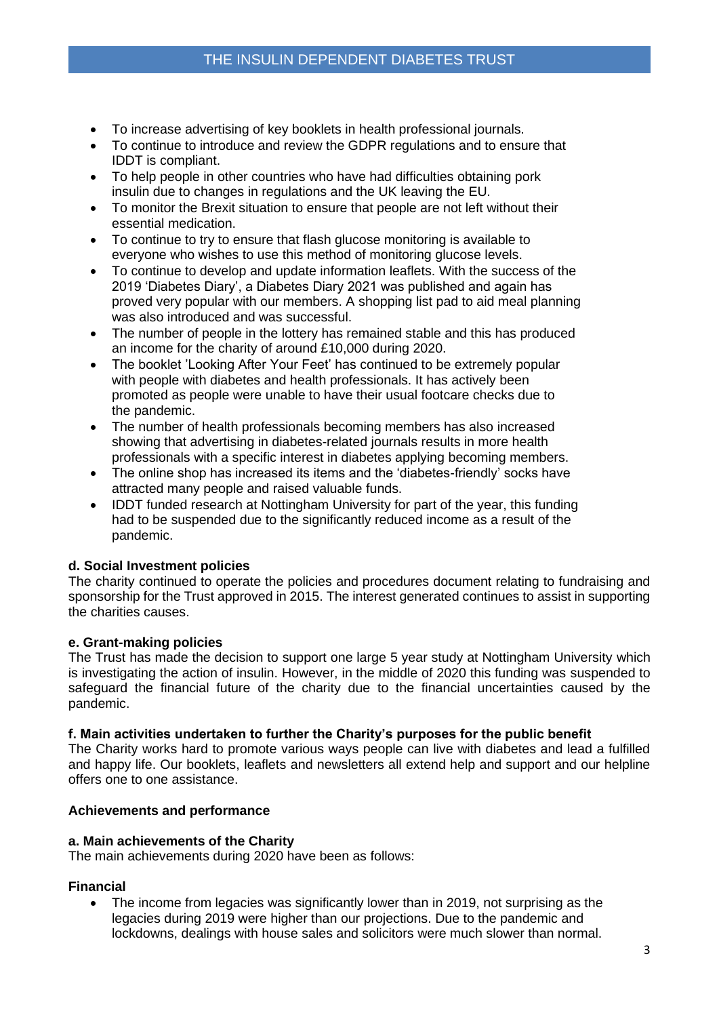- To increase advertising of key booklets in health professional journals.
- To continue to introduce and review the GDPR regulations and to ensure that IDDT is compliant.
- To help people in other countries who have had difficulties obtaining pork insulin due to changes in regulations and the UK leaving the EU.
- To monitor the Brexit situation to ensure that people are not left without their essential medication.
- To continue to try to ensure that flash glucose monitoring is available to everyone who wishes to use this method of monitoring glucose levels.
- To continue to develop and update information leaflets. With the success of the 2019 'Diabetes Diary', a Diabetes Diary 2021 was published and again has proved very popular with our members. A shopping list pad to aid meal planning was also introduced and was successful.
- The number of people in the lottery has remained stable and this has produced an income for the charity of around £10,000 during 2020.
- The booklet 'Looking After Your Feet' has continued to be extremely popular with people with diabetes and health professionals. It has actively been promoted as people were unable to have their usual footcare checks due to the pandemic.
- The number of health professionals becoming members has also increased showing that advertising in diabetes-related journals results in more health professionals with a specific interest in diabetes applying becoming members.
- The online shop has increased its items and the 'diabetes-friendly' socks have attracted many people and raised valuable funds.
- IDDT funded research at Nottingham University for part of the year, this funding had to be suspended due to the significantly reduced income as a result of the pandemic.

### **d. Social Investment policies**

The charity continued to operate the policies and procedures document relating to fundraising and sponsorship for the Trust approved in 2015. The interest generated continues to assist in supporting the charities causes.

### **e. Grant-making policies**

The Trust has made the decision to support one large 5 year study at Nottingham University which is investigating the action of insulin. However, in the middle of 2020 this funding was suspended to safeguard the financial future of the charity due to the financial uncertainties caused by the pandemic.

### **f. Main activities undertaken to further the Charity's purposes for the public benefit**

The Charity works hard to promote various ways people can live with diabetes and lead a fulfilled and happy life. Our booklets, leaflets and newsletters all extend help and support and our helpline offers one to one assistance.

### **Achievements and performance**

### **a. Main achievements of the Charity**

The main achievements during 2020 have been as follows:

### **Financial**

• The income from legacies was significantly lower than in 2019, not surprising as the legacies during 2019 were higher than our projections. Due to the pandemic and lockdowns, dealings with house sales and solicitors were much slower than normal.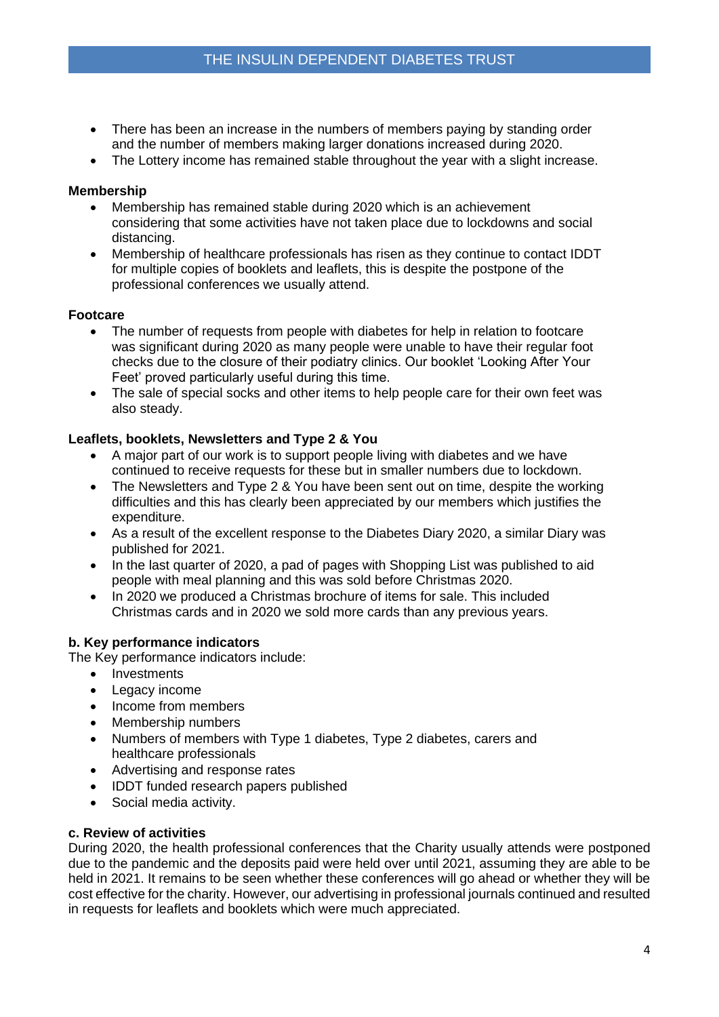- There has been an increase in the numbers of members paying by standing order and the number of members making larger donations increased during 2020.
- The Lottery income has remained stable throughout the year with a slight increase.

#### **Membership**

- Membership has remained stable during 2020 which is an achievement considering that some activities have not taken place due to lockdowns and social distancing.
- Membership of healthcare professionals has risen as they continue to contact IDDT for multiple copies of booklets and leaflets, this is despite the postpone of the professional conferences we usually attend.

#### **Footcare**

- The number of requests from people with diabetes for help in relation to footcare was significant during 2020 as many people were unable to have their regular foot checks due to the closure of their podiatry clinics. Our booklet 'Looking After Your Feet' proved particularly useful during this time.
- The sale of special socks and other items to help people care for their own feet was also steady.

#### **Leaflets, booklets, Newsletters and Type 2 & You**

- A major part of our work is to support people living with diabetes and we have continued to receive requests for these but in smaller numbers due to lockdown.
- The Newsletters and Type 2 & You have been sent out on time, despite the working difficulties and this has clearly been appreciated by our members which justifies the expenditure.
- As a result of the excellent response to the Diabetes Diary 2020, a similar Diary was published for 2021.
- In the last quarter of 2020, a pad of pages with Shopping List was published to aid people with meal planning and this was sold before Christmas 2020.
- In 2020 we produced a Christmas brochure of items for sale. This included Christmas cards and in 2020 we sold more cards than any previous years.

#### **b. Key performance indicators**

The Key performance indicators include:

- Investments
- Legacy income
- Income from members
- Membership numbers
- Numbers of members with Type 1 diabetes, Type 2 diabetes, carers and healthcare professionals
- Advertising and response rates
- IDDT funded research papers published
- Social media activity.

#### **c. Review of activities**

During 2020, the health professional conferences that the Charity usually attends were postponed due to the pandemic and the deposits paid were held over until 2021, assuming they are able to be held in 2021. It remains to be seen whether these conferences will go ahead or whether they will be cost effective for the charity. However, our advertising in professional journals continued and resulted in requests for leaflets and booklets which were much appreciated.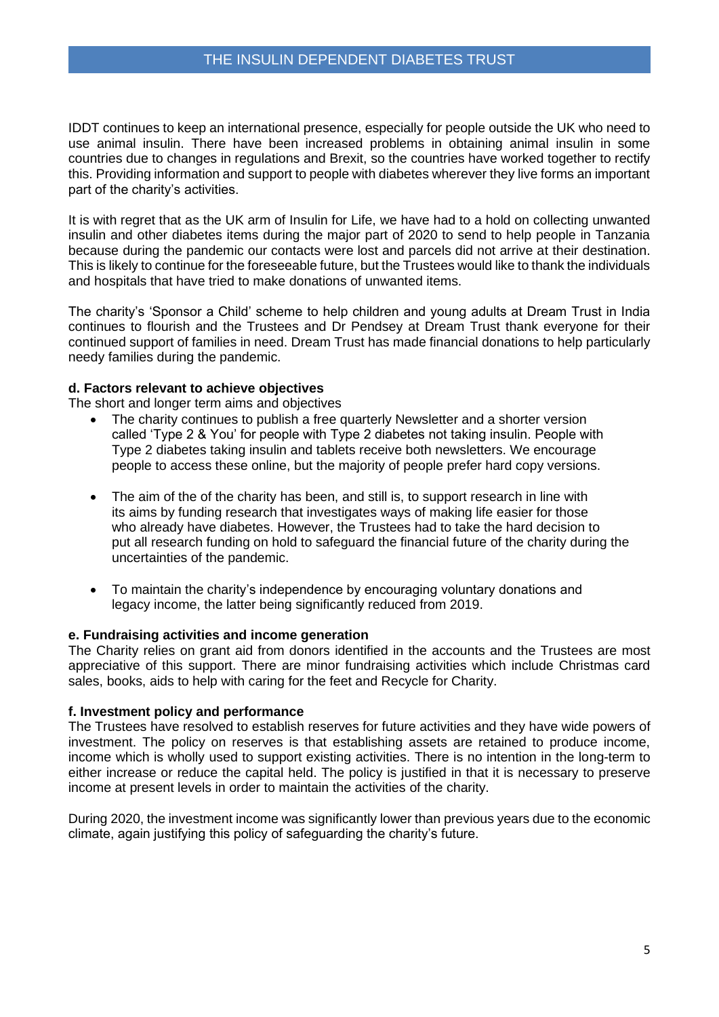IDDT continues to keep an international presence, especially for people outside the UK who need to use animal insulin. There have been increased problems in obtaining animal insulin in some countries due to changes in regulations and Brexit, so the countries have worked together to rectify this. Providing information and support to people with diabetes wherever they live forms an important part of the charity's activities.

It is with regret that as the UK arm of Insulin for Life, we have had to a hold on collecting unwanted insulin and other diabetes items during the major part of 2020 to send to help people in Tanzania because during the pandemic our contacts were lost and parcels did not arrive at their destination. This is likely to continue for the foreseeable future, but the Trustees would like to thank the individuals and hospitals that have tried to make donations of unwanted items.

The charity's 'Sponsor a Child' scheme to help children and young adults at Dream Trust in India continues to flourish and the Trustees and Dr Pendsey at Dream Trust thank everyone for their continued support of families in need. Dream Trust has made financial donations to help particularly needy families during the pandemic.

#### **d. Factors relevant to achieve objectives**

The short and longer term aims and objectives

- The charity continues to publish a free quarterly Newsletter and a shorter version called 'Type 2 & You' for people with Type 2 diabetes not taking insulin. People with Type 2 diabetes taking insulin and tablets receive both newsletters. We encourage people to access these online, but the majority of people prefer hard copy versions.
- The aim of the of the charity has been, and still is, to support research in line with its aims by funding research that investigates ways of making life easier for those who already have diabetes. However, the Trustees had to take the hard decision to put all research funding on hold to safeguard the financial future of the charity during the uncertainties of the pandemic.
- To maintain the charity's independence by encouraging voluntary donations and legacy income, the latter being significantly reduced from 2019.

#### **e. Fundraising activities and income generation**

The Charity relies on grant aid from donors identified in the accounts and the Trustees are most appreciative of this support. There are minor fundraising activities which include Christmas card sales, books, aids to help with caring for the feet and Recycle for Charity.

#### **f. Investment policy and performance**

The Trustees have resolved to establish reserves for future activities and they have wide powers of investment. The policy on reserves is that establishing assets are retained to produce income, income which is wholly used to support existing activities. There is no intention in the long-term to either increase or reduce the capital held. The policy is justified in that it is necessary to preserve income at present levels in order to maintain the activities of the charity.

During 2020, the investment income was significantly lower than previous years due to the economic climate, again justifying this policy of safeguarding the charity's future.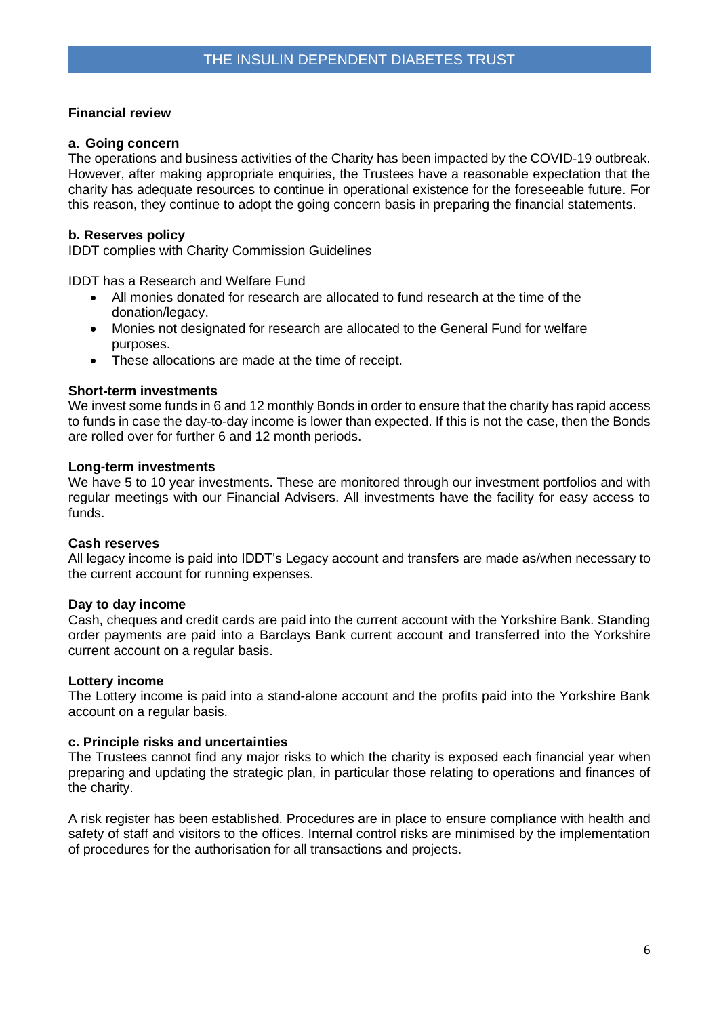### **Financial review**

### **a. Going concern**

The operations and business activities of the Charity has been impacted by the COVID-19 outbreak. However, after making appropriate enquiries, the Trustees have a reasonable expectation that the charity has adequate resources to continue in operational existence for the foreseeable future. For this reason, they continue to adopt the going concern basis in preparing the financial statements.

### **b. Reserves policy**

IDDT complies with Charity Commission Guidelines

IDDT has a Research and Welfare Fund

- All monies donated for research are allocated to fund research at the time of the donation/legacy.
- Monies not designated for research are allocated to the General Fund for welfare purposes.
- These allocations are made at the time of receipt.

### **Short-term investments**

We invest some funds in 6 and 12 monthly Bonds in order to ensure that the charity has rapid access to funds in case the day-to-day income is lower than expected. If this is not the case, then the Bonds are rolled over for further 6 and 12 month periods.

#### **Long-term investments**

We have 5 to 10 year investments. These are monitored through our investment portfolios and with regular meetings with our Financial Advisers. All investments have the facility for easy access to funds.

### **Cash reserves**

All legacy income is paid into IDDT's Legacy account and transfers are made as/when necessary to the current account for running expenses.

### **Day to day income**

Cash, cheques and credit cards are paid into the current account with the Yorkshire Bank. Standing order payments are paid into a Barclays Bank current account and transferred into the Yorkshire current account on a regular basis.

#### **Lottery income**

The Lottery income is paid into a stand-alone account and the profits paid into the Yorkshire Bank account on a regular basis.

### **c. Principle risks and uncertainties**

The Trustees cannot find any major risks to which the charity is exposed each financial year when preparing and updating the strategic plan, in particular those relating to operations and finances of the charity.

A risk register has been established. Procedures are in place to ensure compliance with health and safety of staff and visitors to the offices. Internal control risks are minimised by the implementation of procedures for the authorisation for all transactions and projects.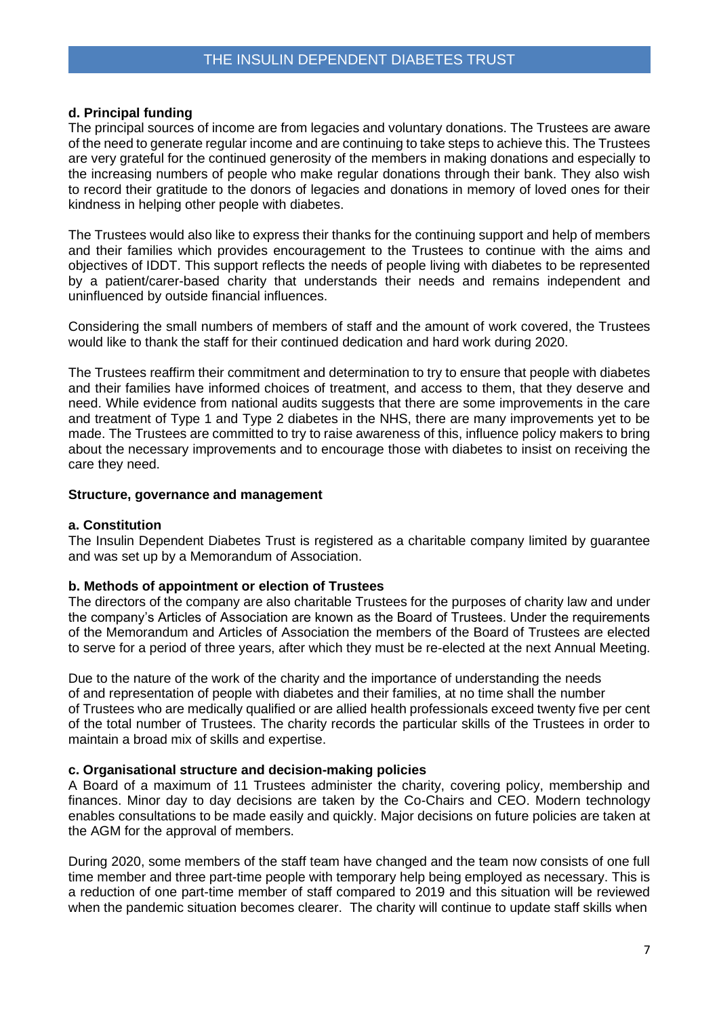#### **d. Principal funding**

The principal sources of income are from legacies and voluntary donations. The Trustees are aware of the need to generate regular income and are continuing to take steps to achieve this. The Trustees are very grateful for the continued generosity of the members in making donations and especially to the increasing numbers of people who make regular donations through their bank. They also wish to record their gratitude to the donors of legacies and donations in memory of loved ones for their kindness in helping other people with diabetes.

The Trustees would also like to express their thanks for the continuing support and help of members and their families which provides encouragement to the Trustees to continue with the aims and objectives of IDDT. This support reflects the needs of people living with diabetes to be represented by a patient/carer-based charity that understands their needs and remains independent and uninfluenced by outside financial influences.

Considering the small numbers of members of staff and the amount of work covered, the Trustees would like to thank the staff for their continued dedication and hard work during 2020.

The Trustees reaffirm their commitment and determination to try to ensure that people with diabetes and their families have informed choices of treatment, and access to them, that they deserve and need. While evidence from national audits suggests that there are some improvements in the care and treatment of Type 1 and Type 2 diabetes in the NHS, there are many improvements yet to be made. The Trustees are committed to try to raise awareness of this, influence policy makers to bring about the necessary improvements and to encourage those with diabetes to insist on receiving the care they need.

#### **Structure, governance and management**

#### **a. Constitution**

The Insulin Dependent Diabetes Trust is registered as a charitable company limited by guarantee and was set up by a Memorandum of Association.

#### **b. Methods of appointment or election of Trustees**

The directors of the company are also charitable Trustees for the purposes of charity law and under the company's Articles of Association are known as the Board of Trustees. Under the requirements of the Memorandum and Articles of Association the members of the Board of Trustees are elected to serve for a period of three years, after which they must be re-elected at the next Annual Meeting.

Due to the nature of the work of the charity and the importance of understanding the needs of and representation of people with diabetes and their families, at no time shall the number of Trustees who are medically qualified or are allied health professionals exceed twenty five per cent of the total number of Trustees. The charity records the particular skills of the Trustees in order to maintain a broad mix of skills and expertise.

#### **c. Organisational structure and decision-making policies**

A Board of a maximum of 11 Trustees administer the charity, covering policy, membership and finances. Minor day to day decisions are taken by the Co-Chairs and CEO. Modern technology enables consultations to be made easily and quickly. Major decisions on future policies are taken at the AGM for the approval of members.

During 2020, some members of the staff team have changed and the team now consists of one full time member and three part-time people with temporary help being employed as necessary. This is a reduction of one part-time member of staff compared to 2019 and this situation will be reviewed when the pandemic situation becomes clearer. The charity will continue to update staff skills when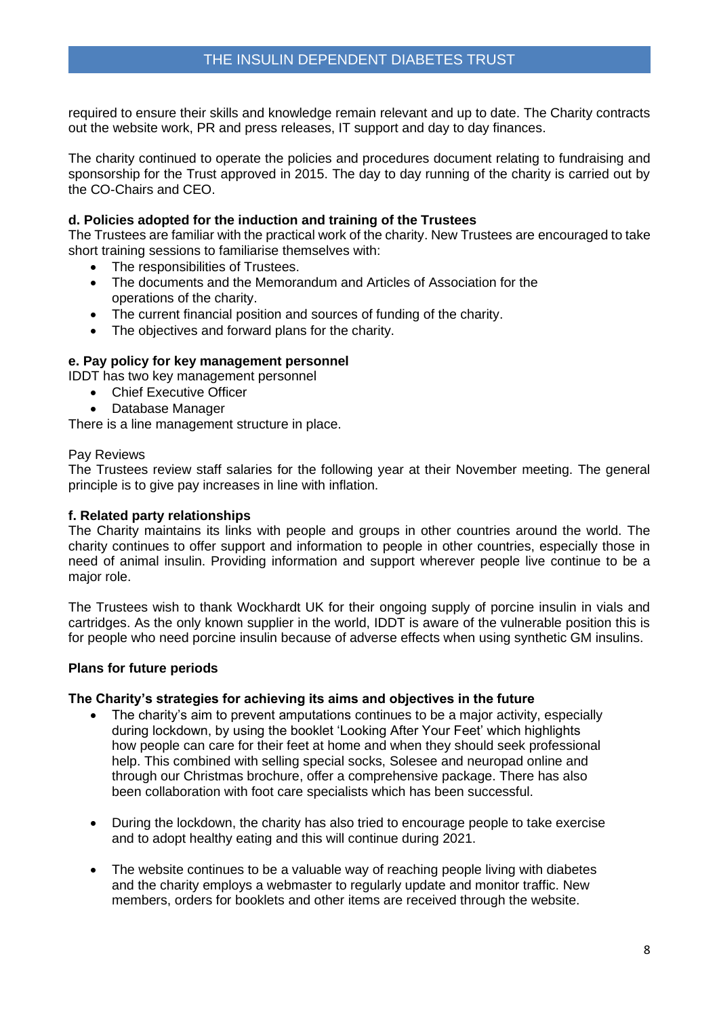required to ensure their skills and knowledge remain relevant and up to date. The Charity contracts out the website work, PR and press releases, IT support and day to day finances.

The charity continued to operate the policies and procedures document relating to fundraising and sponsorship for the Trust approved in 2015. The day to day running of the charity is carried out by the CO-Chairs and CEO.

### **d. Policies adopted for the induction and training of the Trustees**

The Trustees are familiar with the practical work of the charity. New Trustees are encouraged to take short training sessions to familiarise themselves with:

- The responsibilities of Trustees.
- The documents and the Memorandum and Articles of Association for the operations of the charity.
- The current financial position and sources of funding of the charity.
- The objectives and forward plans for the charity.

#### **e. Pay policy for key management personnel**

IDDT has two key management personnel

- Chief Executive Officer
- Database Manager

There is a line management structure in place.

#### Pay Reviews

The Trustees review staff salaries for the following year at their November meeting. The general principle is to give pay increases in line with inflation.

#### **f. Related party relationships**

The Charity maintains its links with people and groups in other countries around the world. The charity continues to offer support and information to people in other countries, especially those in need of animal insulin. Providing information and support wherever people live continue to be a major role.

The Trustees wish to thank Wockhardt UK for their ongoing supply of porcine insulin in vials and cartridges. As the only known supplier in the world, IDDT is aware of the vulnerable position this is for people who need porcine insulin because of adverse effects when using synthetic GM insulins.

#### **Plans for future periods**

#### **The Charity's strategies for achieving its aims and objectives in the future**

- The charity's aim to prevent amputations continues to be a major activity, especially during lockdown, by using the booklet 'Looking After Your Feet' which highlights how people can care for their feet at home and when they should seek professional help. This combined with selling special socks, Solesee and neuropad online and through our Christmas brochure, offer a comprehensive package. There has also been collaboration with foot care specialists which has been successful.
- During the lockdown, the charity has also tried to encourage people to take exercise and to adopt healthy eating and this will continue during 2021.
- The website continues to be a valuable way of reaching people living with diabetes and the charity employs a webmaster to regularly update and monitor traffic. New members, orders for booklets and other items are received through the website.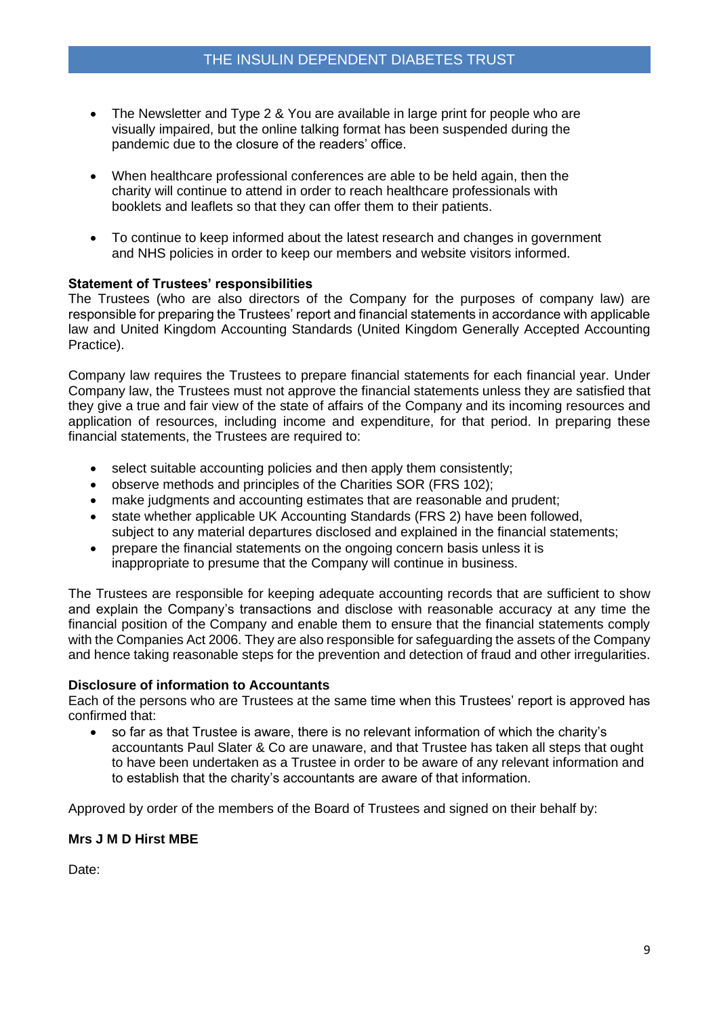- The Newsletter and Type 2 & You are available in large print for people who are visually impaired, but the online talking format has been suspended during the pandemic due to the closure of the readers' office.
- When healthcare professional conferences are able to be held again, then the charity will continue to attend in order to reach healthcare professionals with booklets and leaflets so that they can offer them to their patients.
- To continue to keep informed about the latest research and changes in government and NHS policies in order to keep our members and website visitors informed.

#### **Statement of Trustees' responsibilities**

The Trustees (who are also directors of the Company for the purposes of company law) are responsible for preparing the Trustees' report and financial statements in accordance with applicable law and United Kingdom Accounting Standards (United Kingdom Generally Accepted Accounting Practice).

Company law requires the Trustees to prepare financial statements for each financial year. Under Company law, the Trustees must not approve the financial statements unless they are satisfied that they give a true and fair view of the state of affairs of the Company and its incoming resources and application of resources, including income and expenditure, for that period. In preparing these financial statements, the Trustees are required to:

- select suitable accounting policies and then apply them consistently;
- observe methods and principles of the Charities SOR (FRS 102);
- make judgments and accounting estimates that are reasonable and prudent;
- state whether applicable UK Accounting Standards (FRS 2) have been followed, subject to any material departures disclosed and explained in the financial statements;
- prepare the financial statements on the ongoing concern basis unless it is inappropriate to presume that the Company will continue in business.

The Trustees are responsible for keeping adequate accounting records that are sufficient to show and explain the Company's transactions and disclose with reasonable accuracy at any time the financial position of the Company and enable them to ensure that the financial statements comply with the Companies Act 2006. They are also responsible for safeguarding the assets of the Company and hence taking reasonable steps for the prevention and detection of fraud and other irregularities.

#### **Disclosure of information to Accountants**

Each of the persons who are Trustees at the same time when this Trustees' report is approved has confirmed that:

• so far as that Trustee is aware, there is no relevant information of which the charity's accountants Paul Slater & Co are unaware, and that Trustee has taken all steps that ought to have been undertaken as a Trustee in order to be aware of any relevant information and to establish that the charity's accountants are aware of that information.

Approved by order of the members of the Board of Trustees and signed on their behalf by:

#### **Mrs J M D Hirst MBE**

Date: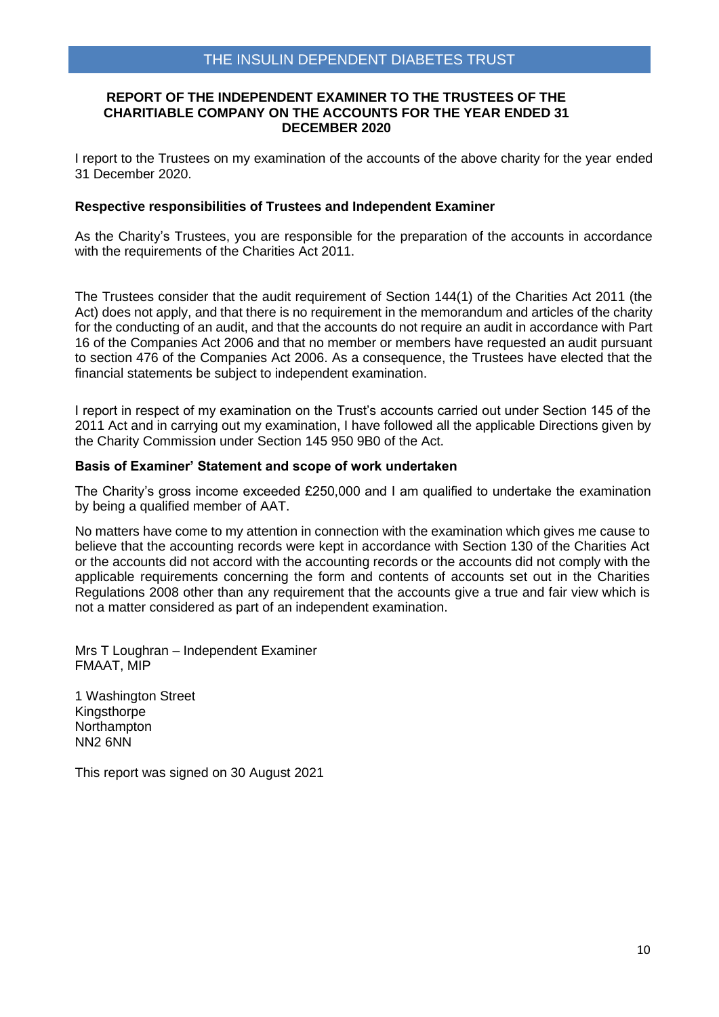#### **REPORT OF THE INDEPENDENT EXAMINER TO THE TRUSTEES OF THE CHARITIABLE COMPANY ON THE ACCOUNTS FOR THE YEAR ENDED 31 DECEMBER 2020**

I report to the Trustees on my examination of the accounts of the above charity for the year ended 31 December 2020.

#### **Respective responsibilities of Trustees and Independent Examiner**

As the Charity's Trustees, you are responsible for the preparation of the accounts in accordance with the requirements of the Charities Act 2011.

The Trustees consider that the audit requirement of Section 144(1) of the Charities Act 2011 (the Act) does not apply, and that there is no requirement in the memorandum and articles of the charity for the conducting of an audit, and that the accounts do not require an audit in accordance with Part 16 of the Companies Act 2006 and that no member or members have requested an audit pursuant to section 476 of the Companies Act 2006. As a consequence, the Trustees have elected that the financial statements be subject to independent examination.

I report in respect of my examination on the Trust's accounts carried out under Section 145 of the 2011 Act and in carrying out my examination, I have followed all the applicable Directions given by the Charity Commission under Section 145 950 9B0 of the Act.

#### **Basis of Examiner' Statement and scope of work undertaken**

The Charity's gross income exceeded £250,000 and I am qualified to undertake the examination by being a qualified member of AAT.

No matters have come to my attention in connection with the examination which gives me cause to believe that the accounting records were kept in accordance with Section 130 of the Charities Act or the accounts did not accord with the accounting records or the accounts did not comply with the applicable requirements concerning the form and contents of accounts set out in the Charities Regulations 2008 other than any requirement that the accounts give a true and fair view which is not a matter considered as part of an independent examination.

Mrs T Loughran – Independent Examiner FMAAT, MIP

1 Washington Street **Kingsthorpe** Northampton NN2 6NN

This report was signed on 30 August 2021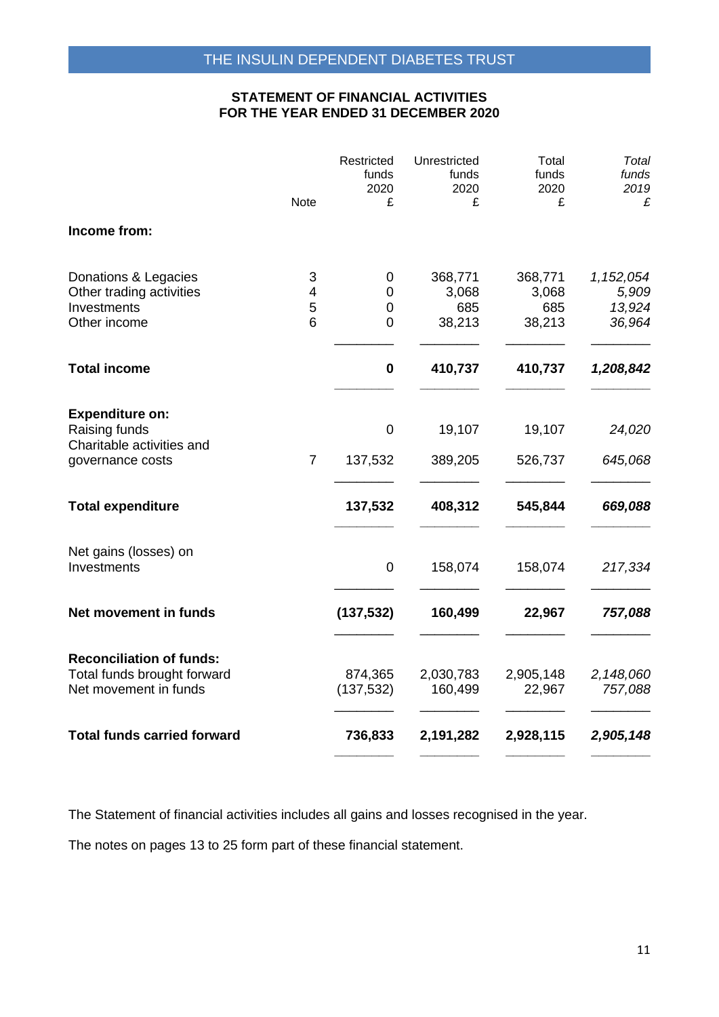### **STATEMENT OF FINANCIAL ACTIVITIES FOR THE YEAR ENDED 31 DECEMBER 2020**

|                                                                      | Note           | Restricted<br>funds<br>2020<br>£ | Unrestricted<br>funds<br>2020<br>£ | Total<br>funds<br>2020<br>£ | Total<br>funds<br>2019<br>£ |
|----------------------------------------------------------------------|----------------|----------------------------------|------------------------------------|-----------------------------|-----------------------------|
| Income from:                                                         |                |                                  |                                    |                             |                             |
| Donations & Legacies<br>Other trading activities                     | 3<br>4         | 0<br>$\mathbf 0$                 | 368,771<br>3,068                   | 368,771<br>3,068            | 1,152,054<br>5,909          |
| Investments<br>Other income                                          | 5<br>6         | 0<br>$\overline{0}$              | 685<br>38,213                      | 685<br>38,213               | 13,924<br>36,964            |
| <b>Total income</b>                                                  |                | $\bf{0}$                         | 410,737                            | 410,737                     | 1,208,842                   |
| <b>Expenditure on:</b><br>Raising funds<br>Charitable activities and |                | $\mathbf 0$                      | 19,107                             | 19,107                      | 24,020                      |
| governance costs                                                     | $\overline{7}$ | 137,532                          | 389,205                            | 526,737                     | 645,068                     |
| <b>Total expenditure</b>                                             |                | 137,532                          | 408,312                            | 545,844                     | 669,088                     |
| Net gains (losses) on<br>Investments                                 |                | $\pmb{0}$                        | 158,074                            | 158,074                     | 217,334                     |
| Net movement in funds                                                |                | (137, 532)                       | 160,499                            | 22,967                      | 757,088                     |
| <b>Reconciliation of funds:</b><br>Total funds brought forward       |                | 874,365                          | 2,030,783                          | 2,905,148                   | 2,148,060                   |
| Net movement in funds                                                |                | (137, 532)                       | 160,499                            | 22,967                      | 757,088                     |
| <b>Total funds carried forward</b>                                   |                | 736,833                          | 2,191,282                          | 2,928,115                   | 2,905,148                   |

The Statement of financial activities includes all gains and losses recognised in the year.

The notes on pages 13 to 25 form part of these financial statement.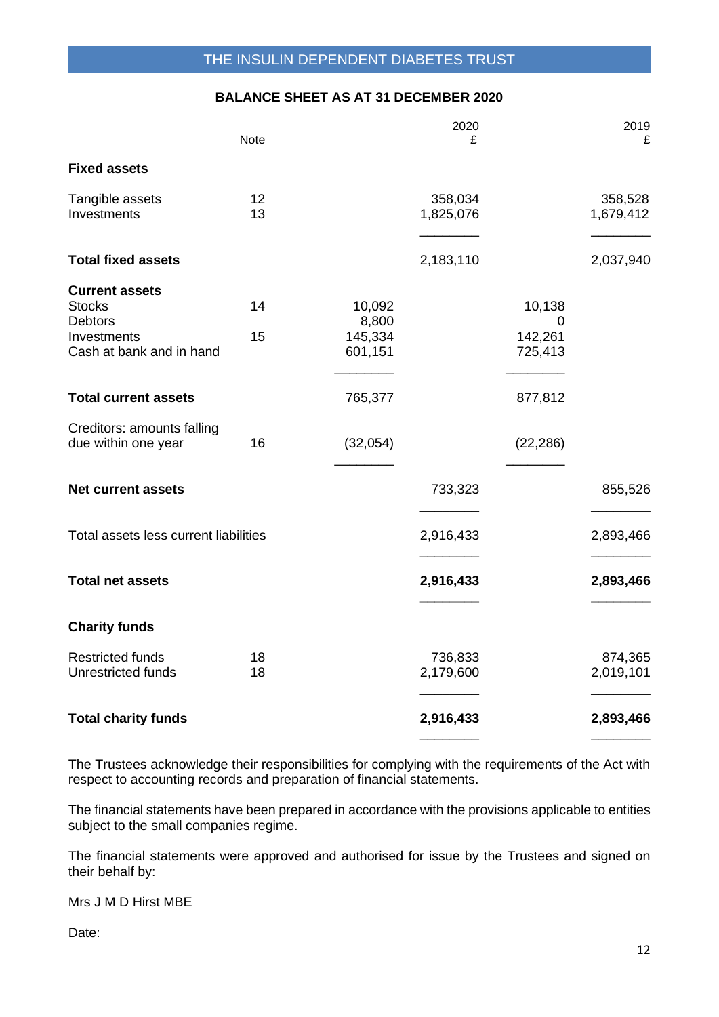### **BALANCE SHEET AS AT 31 DECEMBER 2020**

|                                                                                                     | <b>Note</b> |                                       | 2020<br>£            |                                   | 2019<br>£            |
|-----------------------------------------------------------------------------------------------------|-------------|---------------------------------------|----------------------|-----------------------------------|----------------------|
| <b>Fixed assets</b>                                                                                 |             |                                       |                      |                                   |                      |
| Tangible assets<br>Investments                                                                      | 12<br>13    |                                       | 358,034<br>1,825,076 |                                   | 358,528<br>1,679,412 |
| <b>Total fixed assets</b>                                                                           |             |                                       | 2,183,110            |                                   | 2,037,940            |
| <b>Current assets</b><br><b>Stocks</b><br><b>Debtors</b><br>Investments<br>Cash at bank and in hand | 14<br>15    | 10,092<br>8,800<br>145,334<br>601,151 |                      | 10,138<br>0<br>142,261<br>725,413 |                      |
| <b>Total current assets</b>                                                                         |             | 765,377                               |                      | 877,812                           |                      |
| Creditors: amounts falling<br>due within one year                                                   | 16          | (32,054)                              |                      | (22, 286)                         |                      |
| <b>Net current assets</b>                                                                           |             |                                       | 733,323              |                                   | 855,526              |
| Total assets less current liabilities                                                               |             |                                       | 2,916,433            |                                   | 2,893,466            |
| <b>Total net assets</b>                                                                             |             |                                       | 2,916,433            |                                   | 2,893,466            |
| <b>Charity funds</b>                                                                                |             |                                       |                      |                                   |                      |
| <b>Restricted funds</b><br><b>Unrestricted funds</b>                                                | 18<br>18    |                                       | 736,833<br>2,179,600 |                                   | 874,365<br>2,019,101 |
| <b>Total charity funds</b>                                                                          |             |                                       | 2,916,433            |                                   | 2,893,466            |

The Trustees acknowledge their responsibilities for complying with the requirements of the Act with respect to accounting records and preparation of financial statements.

The financial statements have been prepared in accordance with the provisions applicable to entities subject to the small companies regime.

The financial statements were approved and authorised for issue by the Trustees and signed on their behalf by:

Mrs J M D Hirst MBE

Date: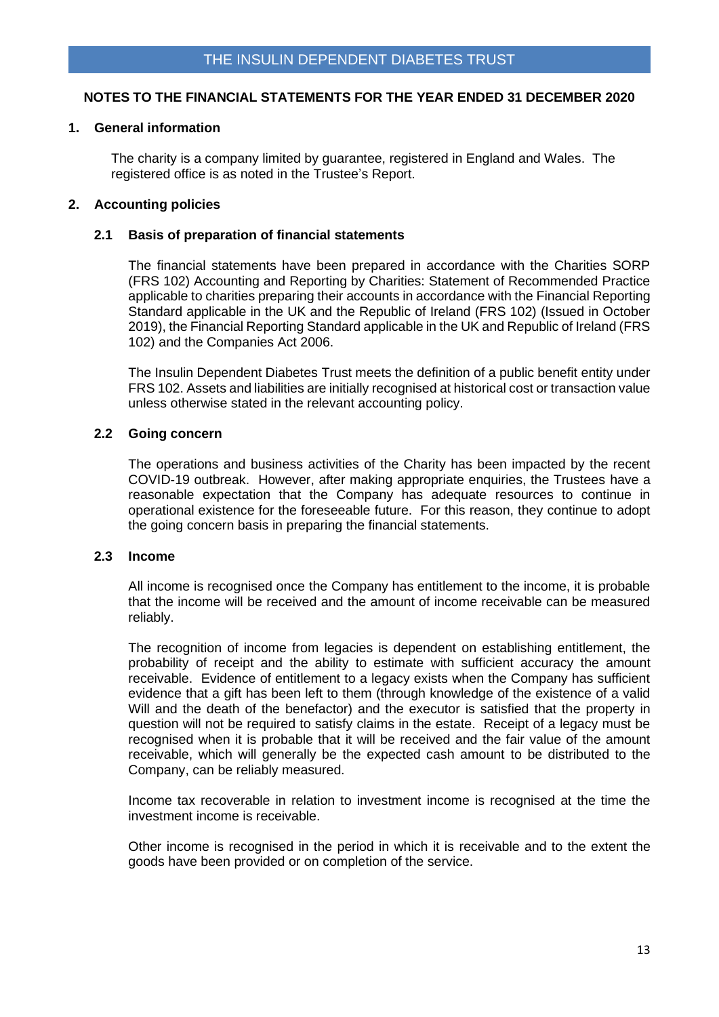### **1. General information**

The charity is a company limited by guarantee, registered in England and Wales. The registered office is as noted in the Trustee's Report.

### **2. Accounting policies**

#### **2.1 Basis of preparation of financial statements**

The financial statements have been prepared in accordance with the Charities SORP (FRS 102) Accounting and Reporting by Charities: Statement of Recommended Practice applicable to charities preparing their accounts in accordance with the Financial Reporting Standard applicable in the UK and the Republic of Ireland (FRS 102) (Issued in October 2019), the Financial Reporting Standard applicable in the UK and Republic of Ireland (FRS 102) and the Companies Act 2006.

The Insulin Dependent Diabetes Trust meets the definition of a public benefit entity under FRS 102. Assets and liabilities are initially recognised at historical cost or transaction value unless otherwise stated in the relevant accounting policy.

#### **2.2 Going concern**

The operations and business activities of the Charity has been impacted by the recent COVID-19 outbreak. However, after making appropriate enquiries, the Trustees have a reasonable expectation that the Company has adequate resources to continue in operational existence for the foreseeable future. For this reason, they continue to adopt the going concern basis in preparing the financial statements.

#### **2.3 Income**

All income is recognised once the Company has entitlement to the income, it is probable that the income will be received and the amount of income receivable can be measured reliably.

The recognition of income from legacies is dependent on establishing entitlement, the probability of receipt and the ability to estimate with sufficient accuracy the amount receivable. Evidence of entitlement to a legacy exists when the Company has sufficient evidence that a gift has been left to them (through knowledge of the existence of a valid Will and the death of the benefactor) and the executor is satisfied that the property in question will not be required to satisfy claims in the estate. Receipt of a legacy must be recognised when it is probable that it will be received and the fair value of the amount receivable, which will generally be the expected cash amount to be distributed to the Company, can be reliably measured.

Income tax recoverable in relation to investment income is recognised at the time the investment income is receivable.

Other income is recognised in the period in which it is receivable and to the extent the goods have been provided or on completion of the service.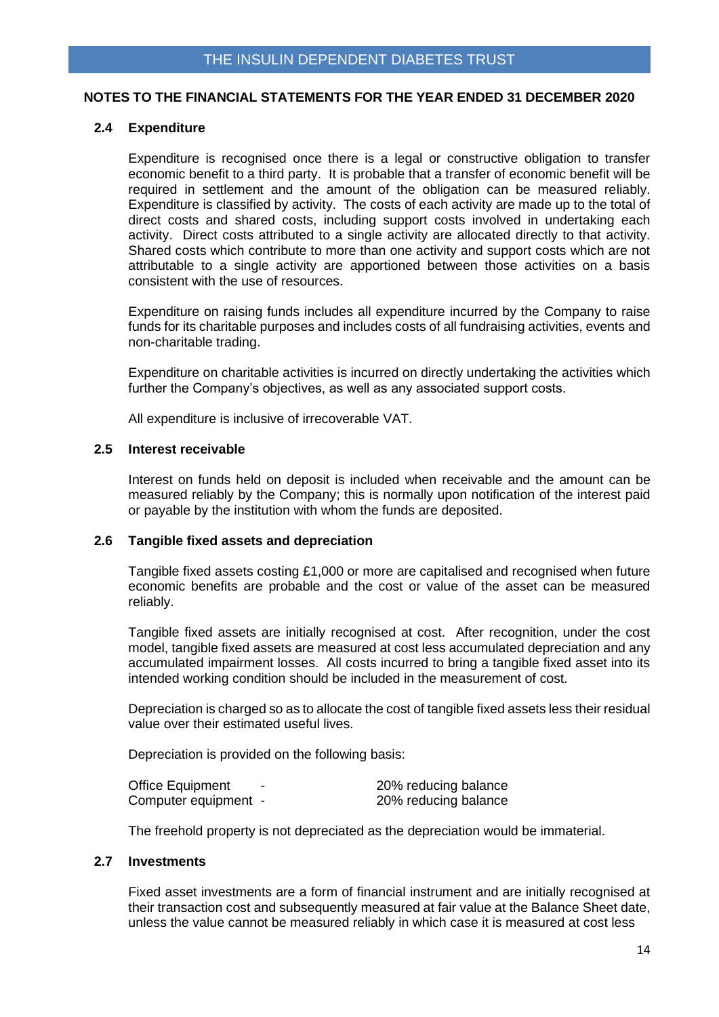#### **2.4 Expenditure**

Expenditure is recognised once there is a legal or constructive obligation to transfer economic benefit to a third party. It is probable that a transfer of economic benefit will be required in settlement and the amount of the obligation can be measured reliably. Expenditure is classified by activity. The costs of each activity are made up to the total of direct costs and shared costs, including support costs involved in undertaking each activity. Direct costs attributed to a single activity are allocated directly to that activity. Shared costs which contribute to more than one activity and support costs which are not attributable to a single activity are apportioned between those activities on a basis consistent with the use of resources.

Expenditure on raising funds includes all expenditure incurred by the Company to raise funds for its charitable purposes and includes costs of all fundraising activities, events and non-charitable trading.

Expenditure on charitable activities is incurred on directly undertaking the activities which further the Company's objectives, as well as any associated support costs.

All expenditure is inclusive of irrecoverable VAT.

#### **2.5 Interest receivable**

Interest on funds held on deposit is included when receivable and the amount can be measured reliably by the Company; this is normally upon notification of the interest paid or payable by the institution with whom the funds are deposited.

#### **2.6 Tangible fixed assets and depreciation**

Tangible fixed assets costing £1,000 or more are capitalised and recognised when future economic benefits are probable and the cost or value of the asset can be measured reliably.

Tangible fixed assets are initially recognised at cost. After recognition, under the cost model, tangible fixed assets are measured at cost less accumulated depreciation and any accumulated impairment losses. All costs incurred to bring a tangible fixed asset into its intended working condition should be included in the measurement of cost.

Depreciation is charged so as to allocate the cost of tangible fixed assets less their residual value over their estimated useful lives.

Depreciation is provided on the following basis:

| <b>Office Equipment</b> | - | 20% reducing balance |
|-------------------------|---|----------------------|
| Computer equipment -    |   | 20% reducing balance |

The freehold property is not depreciated as the depreciation would be immaterial.

#### **2.7 Investments**

Fixed asset investments are a form of financial instrument and are initially recognised at their transaction cost and subsequently measured at fair value at the Balance Sheet date, unless the value cannot be measured reliably in which case it is measured at cost less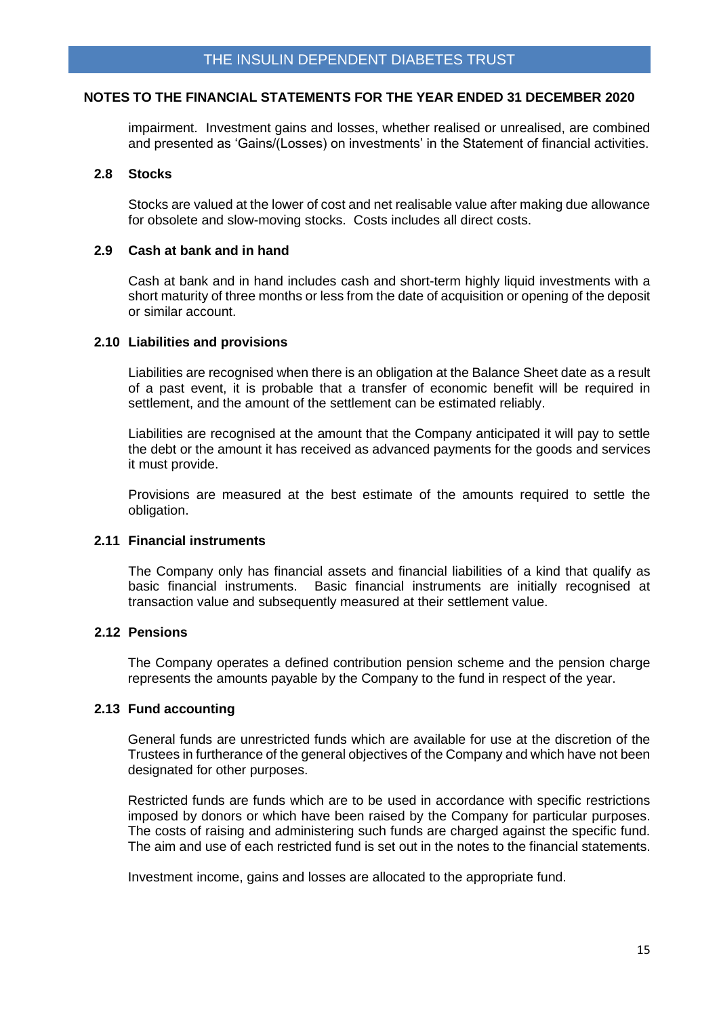impairment. Investment gains and losses, whether realised or unrealised, are combined and presented as 'Gains/(Losses) on investments' in the Statement of financial activities.

#### **2.8 Stocks**

Stocks are valued at the lower of cost and net realisable value after making due allowance for obsolete and slow-moving stocks. Costs includes all direct costs.

#### **2.9 Cash at bank and in hand**

Cash at bank and in hand includes cash and short-term highly liquid investments with a short maturity of three months or less from the date of acquisition or opening of the deposit or similar account.

#### **2.10 Liabilities and provisions**

Liabilities are recognised when there is an obligation at the Balance Sheet date as a result of a past event, it is probable that a transfer of economic benefit will be required in settlement, and the amount of the settlement can be estimated reliably.

Liabilities are recognised at the amount that the Company anticipated it will pay to settle the debt or the amount it has received as advanced payments for the goods and services it must provide.

Provisions are measured at the best estimate of the amounts required to settle the obligation.

### **2.11 Financial instruments**

The Company only has financial assets and financial liabilities of a kind that qualify as basic financial instruments. Basic financial instruments are initially recognised at transaction value and subsequently measured at their settlement value.

### **2.12 Pensions**

The Company operates a defined contribution pension scheme and the pension charge represents the amounts payable by the Company to the fund in respect of the year.

#### **2.13 Fund accounting**

General funds are unrestricted funds which are available for use at the discretion of the Trustees in furtherance of the general objectives of the Company and which have not been designated for other purposes.

Restricted funds are funds which are to be used in accordance with specific restrictions imposed by donors or which have been raised by the Company for particular purposes. The costs of raising and administering such funds are charged against the specific fund. The aim and use of each restricted fund is set out in the notes to the financial statements.

Investment income, gains and losses are allocated to the appropriate fund.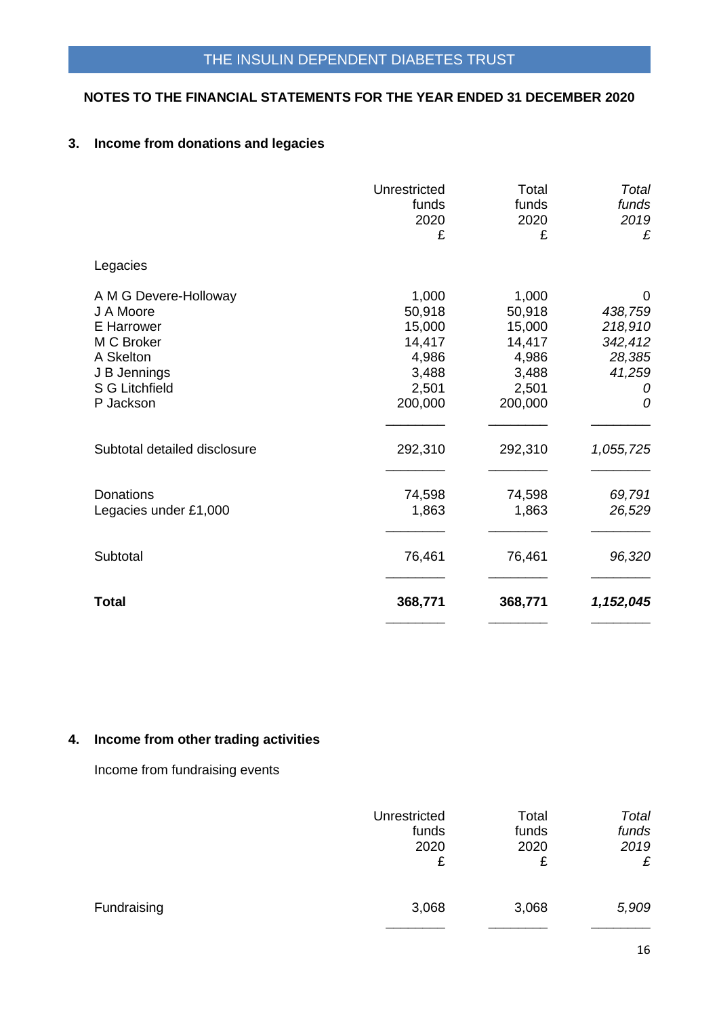# **3. Income from donations and legacies**

|                                                                                                                            | Unrestricted<br>funds<br>2020<br>£                                        | Total<br>funds<br>2020<br>£                                               | Total<br>funds<br>2019<br>£                                      |
|----------------------------------------------------------------------------------------------------------------------------|---------------------------------------------------------------------------|---------------------------------------------------------------------------|------------------------------------------------------------------|
| Legacies                                                                                                                   |                                                                           |                                                                           |                                                                  |
| A M G Devere-Holloway<br>J A Moore<br>E Harrower<br>M C Broker<br>A Skelton<br>J B Jennings<br>S G Litchfield<br>P Jackson | 1,000<br>50,918<br>15,000<br>14,417<br>4,986<br>3,488<br>2,501<br>200,000 | 1,000<br>50,918<br>15,000<br>14,417<br>4,986<br>3,488<br>2,501<br>200,000 | 0<br>438,759<br>218,910<br>342,412<br>28,385<br>41,259<br>0<br>0 |
| Subtotal detailed disclosure                                                                                               | 292,310                                                                   | 292,310                                                                   | 1,055,725                                                        |
| <b>Donations</b><br>Legacies under £1,000                                                                                  | 74,598<br>1,863                                                           | 74,598<br>1,863                                                           | 69,791<br>26,529                                                 |
| Subtotal                                                                                                                   | 76,461                                                                    | 76,461                                                                    | 96,320                                                           |
| <b>Total</b>                                                                                                               | 368,771                                                                   | 368,771                                                                   | 1,152,045                                                        |

# **4. Income from other trading activities**

Income from fundraising events

|             | Unrestricted<br>funds<br>2020<br>£ | Total<br>funds<br>2020<br>£ | Total<br>funds<br>2019<br>£ |
|-------------|------------------------------------|-----------------------------|-----------------------------|
| Fundraising | 3,068                              | 3,068                       | 5,909                       |
|             |                                    |                             |                             |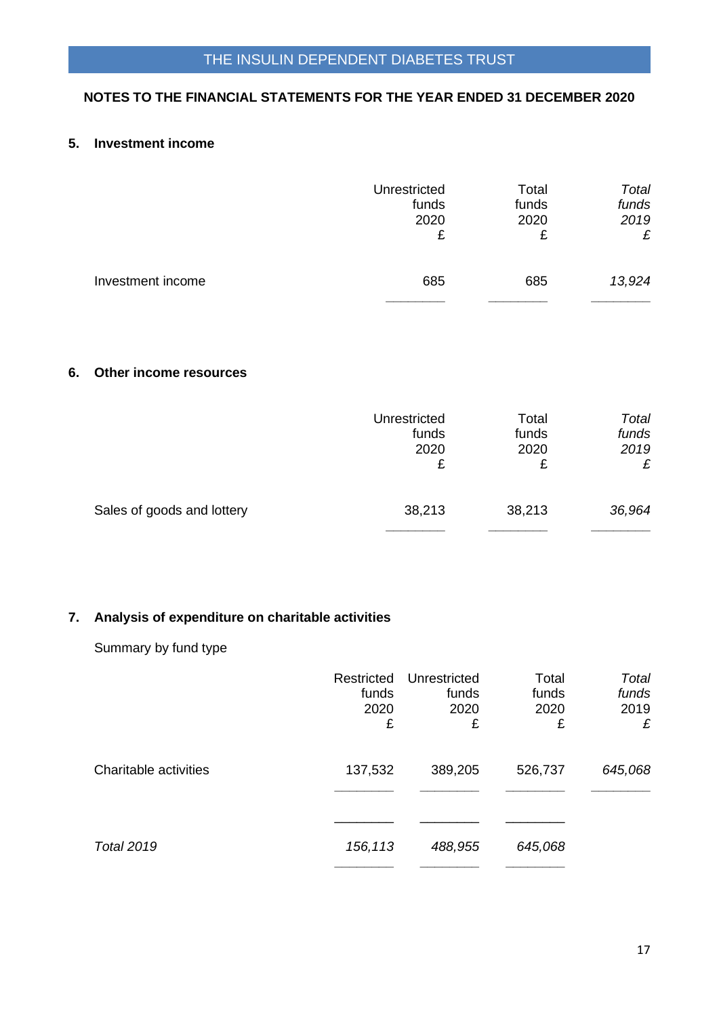## **5. Investment income**

|                   | Unrestricted | Total | Total  |
|-------------------|--------------|-------|--------|
|                   | funds        | funds | funds  |
|                   | 2020         | 2020  | 2019   |
|                   | £            | £     | £      |
| Investment income | 685          | 685   | 13,924 |

### **6. Other income resources**

|                            | Unrestricted | Total  | Total  |
|----------------------------|--------------|--------|--------|
|                            | funds        | funds  | funds  |
|                            | 2020         | 2020   | 2019   |
|                            | £            | £      | £      |
| Sales of goods and lottery | 38,213       | 38,213 | 36,964 |

# **7. Analysis of expenditure on charitable activities**

# Summary by fund type

|                       | Restricted<br>funds<br>2020<br>£ | Unrestricted<br>funds<br>2020<br>£ | Total<br>funds<br>2020<br>£ | Total<br>funds<br>2019<br>£ |
|-----------------------|----------------------------------|------------------------------------|-----------------------------|-----------------------------|
| Charitable activities | 137,532                          | 389,205                            | 526,737                     | 645,068                     |
| <b>Total 2019</b>     | 156,113                          | 488,955                            | 645,068                     |                             |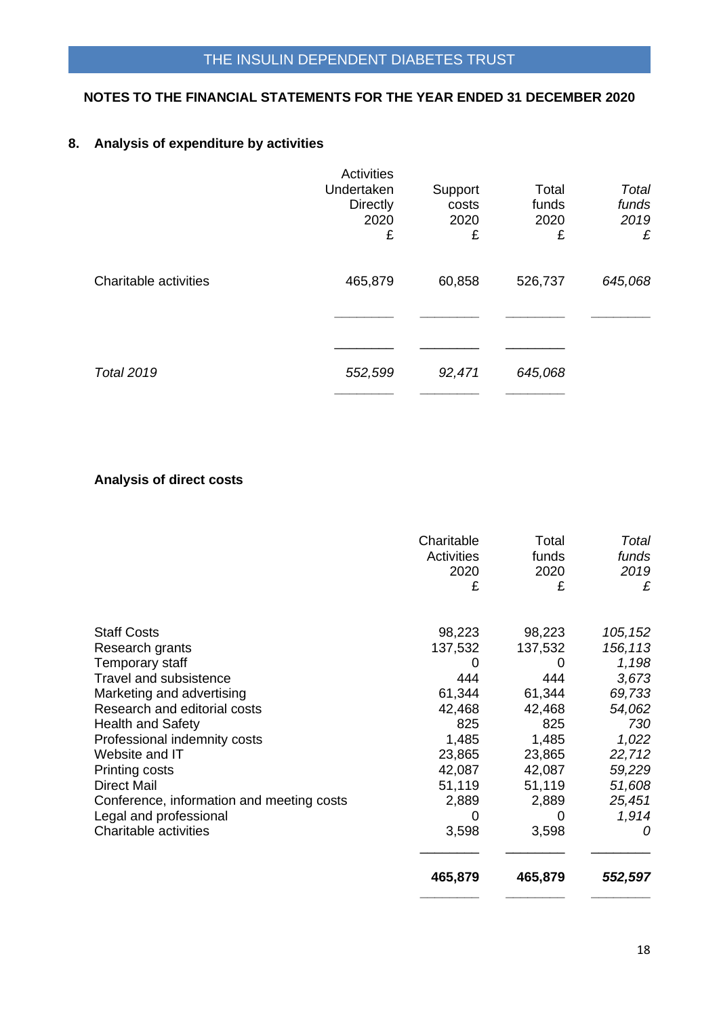# **8. Analysis of expenditure by activities**

|                       | Activities      |         |         |         |
|-----------------------|-----------------|---------|---------|---------|
|                       | Undertaken      | Support | Total   | Total   |
|                       | <b>Directly</b> | costs   | funds   | funds   |
|                       | 2020            | 2020    | 2020    | 2019    |
|                       | £               | £       | £       | £       |
| Charitable activities | 465,879         | 60,858  | 526,737 | 645,068 |
|                       |                 |         |         |         |
|                       |                 |         |         |         |
| <b>Total 2019</b>     | 552,599         | 92,471  | 645,068 |         |
|                       |                 |         |         |         |

# **Analysis of direct costs**

|                                                  | Charitable<br><b>Activities</b><br>2020<br>£ | Total<br>funds<br>2020<br>£ | Total<br>funds<br>2019<br>£ |
|--------------------------------------------------|----------------------------------------------|-----------------------------|-----------------------------|
| <b>Staff Costs</b>                               | 98,223                                       | 98,223                      | 105, 152                    |
| Research grants                                  | 137,532                                      | 137,532                     | 156,113                     |
| Temporary staff<br><b>Travel and subsistence</b> | 444                                          | 0<br>444                    | 1,198<br>3,673              |
| Marketing and advertising                        | 61,344                                       | 61,344                      | 69,733                      |
| Research and editorial costs                     | 42,468                                       | 42,468                      | 54,062                      |
| <b>Health and Safety</b>                         | 825                                          | 825                         | 730                         |
| Professional indemnity costs                     | 1,485                                        | 1,485                       | 1,022                       |
| Website and IT                                   | 23,865                                       | 23,865                      | 22,712                      |
| Printing costs                                   | 42,087                                       | 42,087                      | 59,229                      |
| <b>Direct Mail</b>                               | 51,119                                       | 51,119                      | 51,608                      |
| Conference, information and meeting costs        | 2,889                                        | 2,889                       | 25,451                      |
| Legal and professional                           | 0                                            | 0                           | 1,914                       |
| Charitable activities                            | 3,598                                        | 3,598                       | 0                           |
|                                                  | 465,879                                      | 465,879                     | 552,597                     |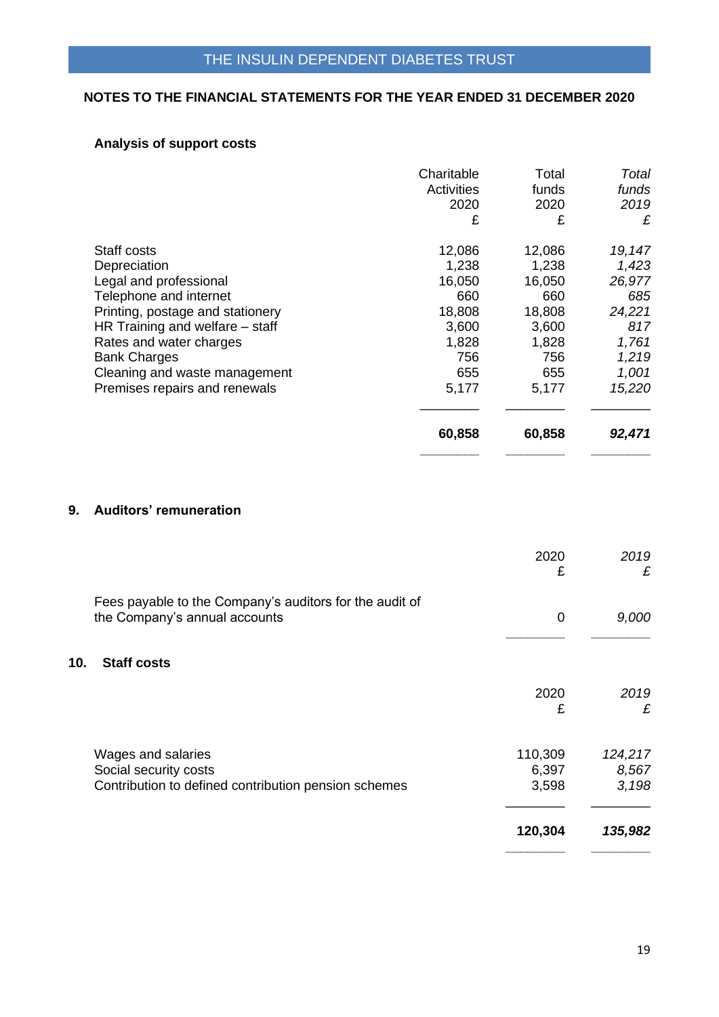# **Analysis of support costs**

|                                  | Charitable<br><b>Activities</b><br>2020<br>£ | Total<br>funds<br>2020<br>£ | Total<br>funds<br>2019<br>£ |
|----------------------------------|----------------------------------------------|-----------------------------|-----------------------------|
| Staff costs                      | 12,086                                       | 12,086                      | 19,147                      |
| Depreciation                     | 1,238                                        | 1,238                       | 1,423                       |
| Legal and professional           | 16,050                                       | 16,050                      | 26,977                      |
| Telephone and internet           | 660                                          | 660                         | 685                         |
| Printing, postage and stationery | 18,808                                       | 18,808                      | 24,221                      |
| HR Training and welfare – staff  | 3,600                                        | 3,600                       | 817                         |
| Rates and water charges          | 1,828                                        | 1,828                       | 1,761                       |
| <b>Bank Charges</b>              | 756                                          | 756                         | 1,219                       |
| Cleaning and waste management    | 655                                          | 655                         | 1,001                       |
| Premises repairs and renewals    | 5,177                                        | 5,177                       | 15,220                      |
|                                  | 60,858                                       | 60,858                      | 92,471                      |

# **9. Auditors' remuneration**

|     |                                                                                                     | 2020<br>£                 | 2019<br>£                 |
|-----|-----------------------------------------------------------------------------------------------------|---------------------------|---------------------------|
|     | Fees payable to the Company's auditors for the audit of<br>the Company's annual accounts            | 0                         | 9,000                     |
| 10. | <b>Staff costs</b>                                                                                  |                           |                           |
|     |                                                                                                     | 2020<br>£                 | 2019<br>£                 |
|     | Wages and salaries<br>Social security costs<br>Contribution to defined contribution pension schemes | 110,309<br>6,397<br>3,598 | 124,217<br>8,567<br>3,198 |
|     |                                                                                                     | 120,304                   | 135,982                   |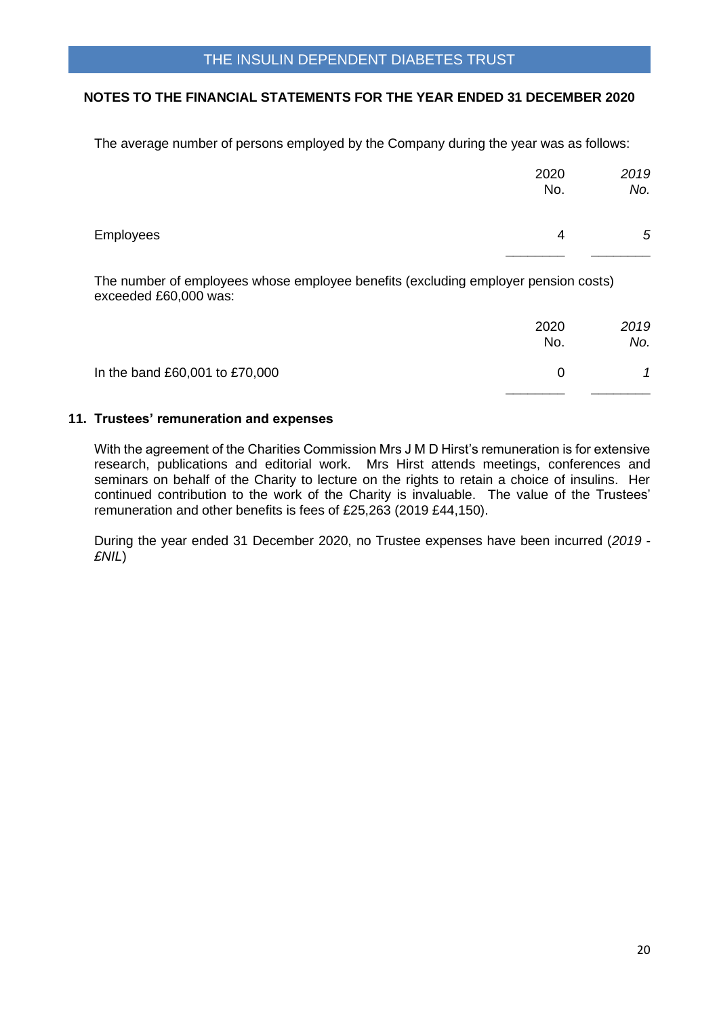The average number of persons employed by the Company during the year was as follows:

|           | 2020<br>No. | 2019<br>No. |
|-----------|-------------|-------------|
| Employees | 4           | $\sqrt{5}$  |

The number of employees whose employee benefits (excluding employer pension costs) exceeded £60,000 was:

|                                | 2020<br>No. | 2019<br>No. |
|--------------------------------|-------------|-------------|
| In the band £60,001 to £70,000 | 0           |             |
|                                |             |             |

### **11. Trustees' remuneration and expenses**

With the agreement of the Charities Commission Mrs J M D Hirst's remuneration is for extensive research, publications and editorial work. Mrs Hirst attends meetings, conferences and seminars on behalf of the Charity to lecture on the rights to retain a choice of insulins. Her continued contribution to the work of the Charity is invaluable. The value of the Trustees' remuneration and other benefits is fees of £25,263 (2019 £44,150).

During the year ended 31 December 2020, no Trustee expenses have been incurred (*2019 - £NIL*)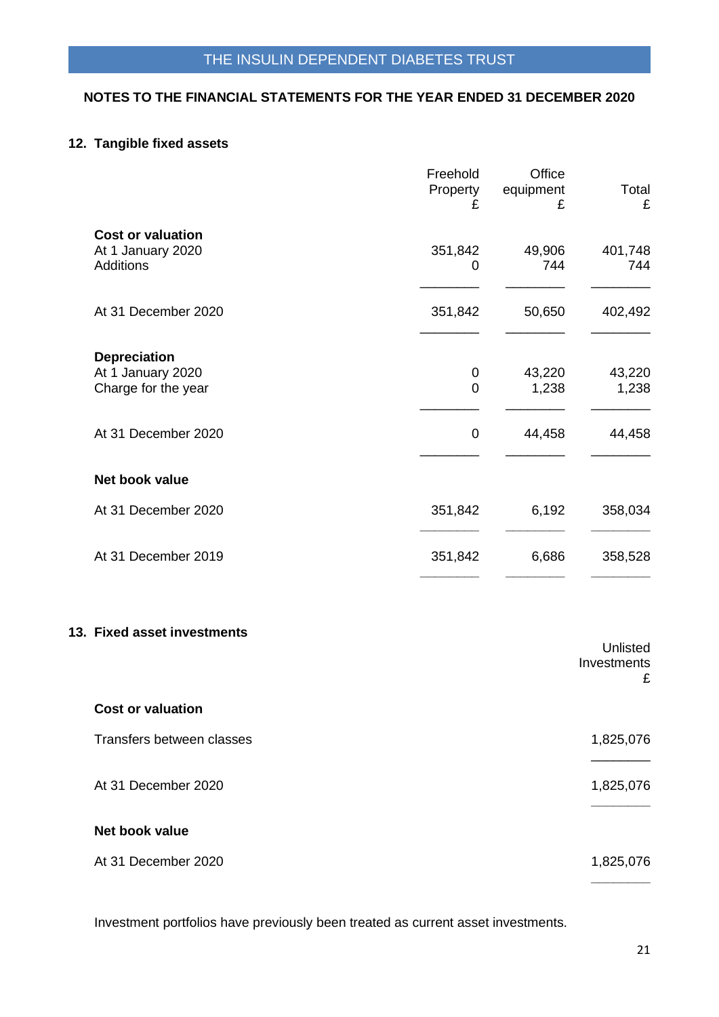# **12. Tangible fixed assets**

|                                                                 | Freehold<br>Property<br>£ | Office<br>equipment<br>£ | Total<br>£                   |
|-----------------------------------------------------------------|---------------------------|--------------------------|------------------------------|
| <b>Cost or valuation</b><br>At 1 January 2020<br>Additions      | 351,842<br>0              | 49,906<br>744            | 401,748<br>744               |
| At 31 December 2020                                             | 351,842                   | 50,650                   | 402,492                      |
| <b>Depreciation</b><br>At 1 January 2020<br>Charge for the year | 0<br>$\mathbf 0$          | 43,220<br>1,238          | 43,220<br>1,238              |
| At 31 December 2020                                             | $\boldsymbol{0}$          | 44,458                   | 44,458                       |
| Net book value                                                  |                           |                          |                              |
| At 31 December 2020                                             | 351,842                   | 6,192                    | 358,034                      |
| At 31 December 2019                                             | 351,842                   | 6,686                    | 358,528                      |
| <b>Fixed asset investments</b>                                  |                           |                          | Unlisted<br>Investments<br>£ |
| <b>Cost or valuation</b>                                        |                           |                          |                              |
| Transfers between classes                                       |                           |                          | 1,825,076                    |

At 31 December 2020 1,825,076

### **Net book value**

**13.** 

At 31 December 2020 1,825,076 **\_\_\_\_\_\_\_\_**

Investment portfolios have previously been treated as current asset investments.

**\_\_\_\_\_\_\_\_**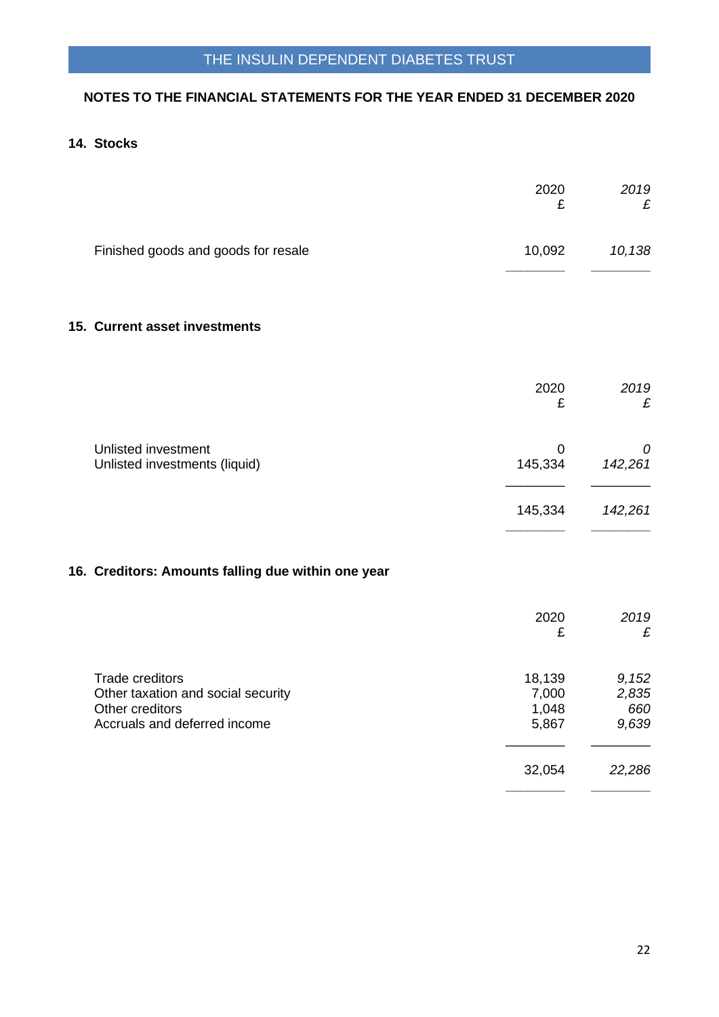# THE INSULIN DEPENDENT DIABETES TRUST

### **NOTES TO THE FINANCIAL STATEMENTS FOR THE YEAR ENDED 31 DECEMBER 2020**

# **14. Stocks**

|                                                                                                                 | 2020<br>£                         | 2019<br>£                      |
|-----------------------------------------------------------------------------------------------------------------|-----------------------------------|--------------------------------|
| Finished goods and goods for resale                                                                             | 10,092                            | 10,138                         |
| 15. Current asset investments                                                                                   |                                   |                                |
|                                                                                                                 | 2020<br>£                         | 2019<br>£                      |
| Unlisted investment<br>Unlisted investments (liquid)                                                            | 0<br>145,334                      | 0<br>142,261                   |
|                                                                                                                 | 145,334                           | 142,261                        |
| 16. Creditors: Amounts falling due within one year                                                              |                                   |                                |
|                                                                                                                 | 2020<br>£                         | 2019<br>£                      |
| <b>Trade creditors</b><br>Other taxation and social security<br>Other creditors<br>Accruals and deferred income | 18,139<br>7,000<br>1,048<br>5,867 | 9,152<br>2,835<br>660<br>9,639 |
|                                                                                                                 | 32,054                            | 22,286                         |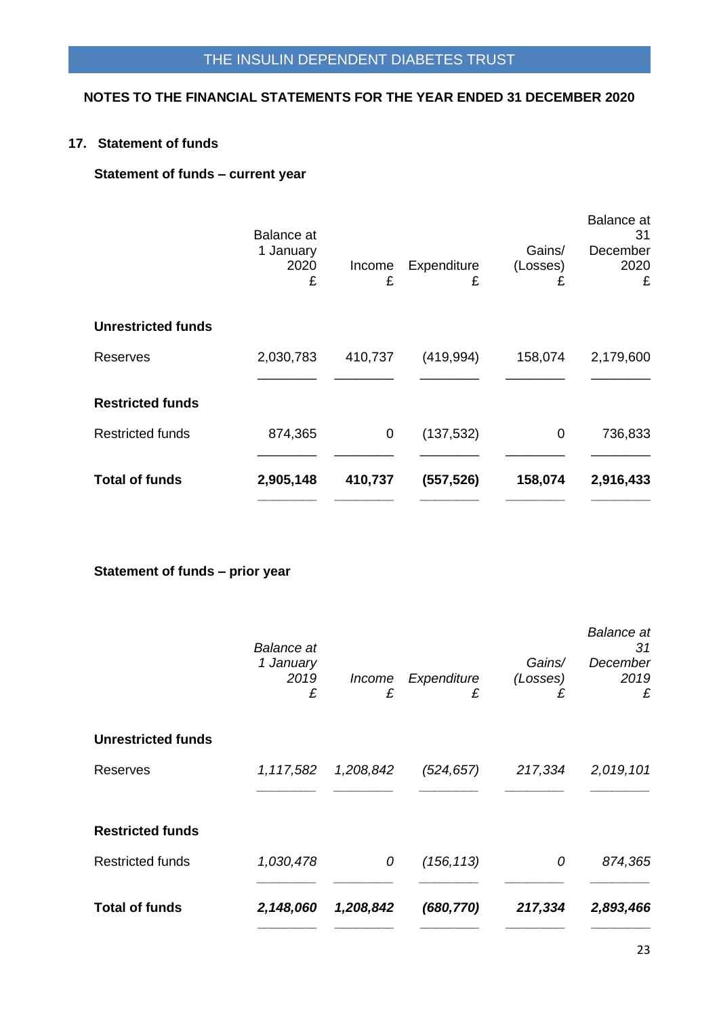**17. Statement of funds**

# **Statement of funds – current year**

|                           | <b>Balance</b> at      |             |                  |                         | <b>Balance</b> at<br>31 |
|---------------------------|------------------------|-------------|------------------|-------------------------|-------------------------|
|                           | 1 January<br>2020<br>£ | Income<br>£ | Expenditure<br>£ | Gains/<br>(Losses)<br>£ | December<br>2020<br>£   |
| <b>Unrestricted funds</b> |                        |             |                  |                         |                         |
| <b>Reserves</b>           | 2,030,783              | 410,737     | (419, 994)       | 158,074                 | 2,179,600               |
| <b>Restricted funds</b>   |                        |             |                  |                         |                         |
| <b>Restricted funds</b>   | 874,365                | 0           | (137, 532)       | 0                       | 736,833                 |
| <b>Total of funds</b>     | 2,905,148              | 410,737     | (557, 526)       | 158,074                 | 2,916,433               |

**Statement of funds – prior year**

|                           | <b>Balance</b> at<br>1 January<br>2019<br>£ | Income<br>£ | Expenditure<br>£ | Gains/<br>(Losses)<br>£ | <b>Balance</b> at<br>31<br>December<br>2019<br>£ |
|---------------------------|---------------------------------------------|-------------|------------------|-------------------------|--------------------------------------------------|
| <b>Unrestricted funds</b> |                                             |             |                  |                         |                                                  |
| Reserves                  | 1,117,582                                   | 1,208,842   | (524, 657)       | 217,334                 | 2,019,101                                        |
| <b>Restricted funds</b>   |                                             |             |                  |                         |                                                  |
| <b>Restricted funds</b>   | 1,030,478                                   | 0           | (156, 113)       | 0                       | 874,365                                          |
| <b>Total of funds</b>     | 2,148,060                                   | 1,208,842   | (680, 770)       | 217,334                 | 2,893,466                                        |
|                           |                                             |             |                  |                         |                                                  |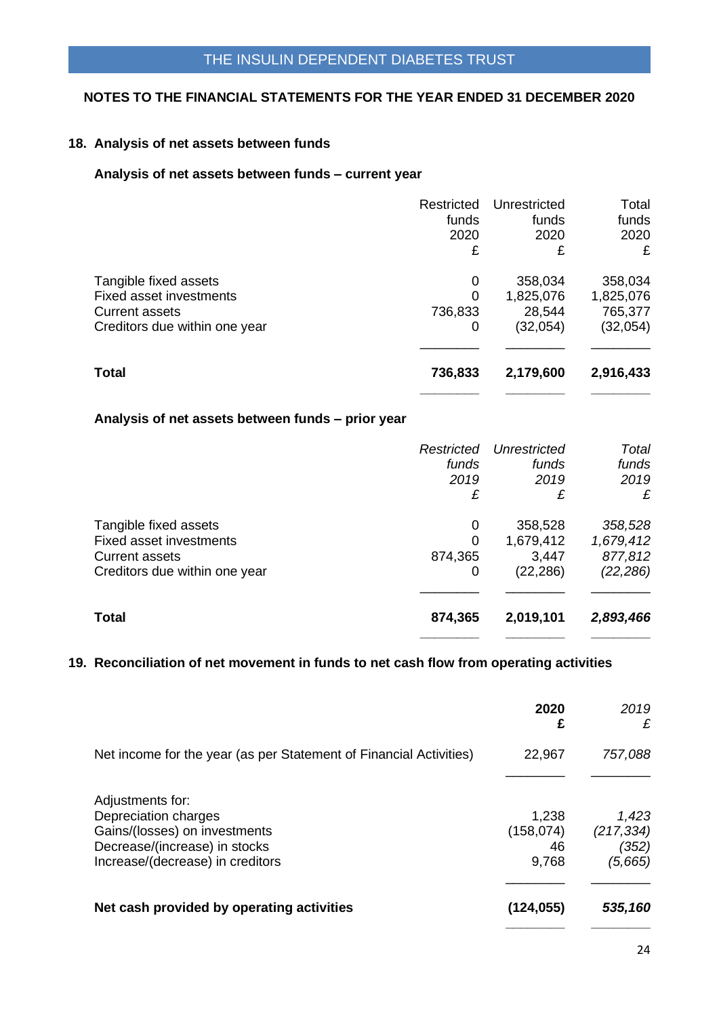#### **18. Analysis of net assets between funds**

#### **Analysis of net assets between funds – current year**

|                                | Restricted | Unrestricted | Total     |
|--------------------------------|------------|--------------|-----------|
|                                | funds      | funds        | funds     |
|                                | 2020       | 2020         | 2020      |
|                                | £          | £            | £         |
| Tangible fixed assets          | 0          | 358,034      | 358,034   |
| <b>Fixed asset investments</b> | $\Omega$   | 1,825,076    | 1,825,076 |
| <b>Current assets</b>          | 736,833    | 28,544       | 765,377   |
| Creditors due within one year  | 0          | (32,054)     | (32, 054) |
| <b>Total</b>                   | 736,833    | 2,179,600    | 2,916,433 |
|                                |            |              |           |

# **Analysis of net assets between funds – prior year**

|                               | Restricted | Unrestricted | Total     |
|-------------------------------|------------|--------------|-----------|
|                               | funds      | funds        | funds     |
|                               | 2019       | 2019         | 2019      |
|                               | £          | £            | £         |
| Tangible fixed assets         | 0          | 358,528      | 358,528   |
| Fixed asset investments       | $\Omega$   | 1,679,412    | 1,679,412 |
| <b>Current assets</b>         | 874,365    | 3,447        | 877,812   |
| Creditors due within one year | 0          | (22,286)     | (22, 286) |
| <b>Total</b>                  | 874,365    | 2,019,101    | 2,893,466 |
|                               |            |              |           |

### **19. Reconciliation of net movement in funds to net cash flow from operating activities**

|                                                                                                                                                | 2020<br>£                          | 2019<br>£                               |
|------------------------------------------------------------------------------------------------------------------------------------------------|------------------------------------|-----------------------------------------|
| Net income for the year (as per Statement of Financial Activities)                                                                             | 22,967                             | 757,088                                 |
| Adjustments for:<br>Depreciation charges<br>Gains/(losses) on investments<br>Decrease/(increase) in stocks<br>Increase/(decrease) in creditors | 1,238<br>(158, 074)<br>46<br>9,768 | 1,423<br>(217, 334)<br>(352)<br>(5,665) |
| Net cash provided by operating activities                                                                                                      | (124, 055)                         | 535,160                                 |